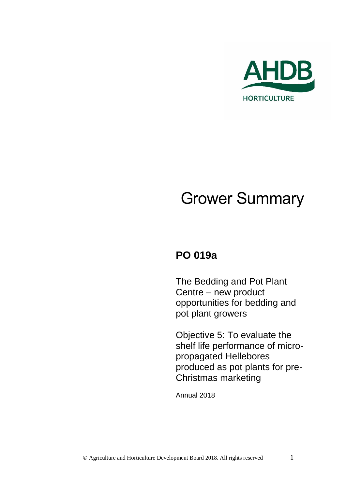

# **Grower Summary**

# **PO 019a**

The Bedding and Pot Plant Centre – new product opportunities for bedding and pot plant growers

Objective 5: To evaluate the shelf life performance of micropropagated Hellebores produced as pot plants for pre-Christmas marketing

Annual 2018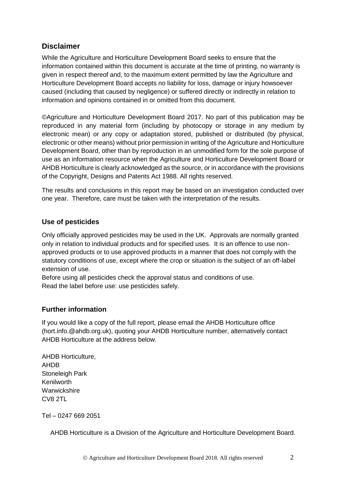#### **Disclaimer**

While the Agriculture and Horticulture Development Board seeks to ensure that the information contained within this document is accurate at the time of printing, no warranty is given in respect thereof and, to the maximum extent permitted by law the Agriculture and Horticulture Development Board accepts no liability for loss, damage or injury howsoever caused (including that caused by negligence) or suffered directly or indirectly in relation to information and opinions contained in or omitted from this document.

©Agriculture and Horticulture Development Board 2017. No part of this publication may be reproduced in any material form (including by photocopy or storage in any medium by electronic mean) or any copy or adaptation stored, published or distributed (by physical, electronic or other means) without prior permission in writing of the Agriculture and Horticulture Development Board, other than by reproduction in an unmodified form for the sole purpose of use as an information resource when the Agriculture and Horticulture Development Board or AHDB Horticulture is clearly acknowledged as the source, or in accordance with the provisions of the Copyright, Designs and Patents Act 1988. All rights reserved.

The results and conclusions in this report may be based on an investigation conducted over one year. Therefore, care must be taken with the interpretation of the results.

#### **Use of pesticides**

Only officially approved pesticides may be used in the UK. Approvals are normally granted only in relation to individual products and for specified uses. It is an offence to use nonapproved products or to use approved products in a manner that does not comply with the statutory conditions of use, except where the crop or situation is the subject of an off-label extension of use.

Before using all pesticides check the approval status and conditions of use. Read the label before use: use pesticides safely.

#### **Further information**

If you would like a copy of the full report, please email the AHDB Horticulture office (hort.info.@ahdb.org.uk), quoting your AHDB Horticulture number, alternatively contact AHDB Horticulture at the address below.

AHDB Horticulture, AHDB Stoneleigh Park Kenilworth **Warwickshire** CV8 2TL

Tel – 0247 669 2051

AHDB Horticulture is a Division of the Agriculture and Horticulture Development Board.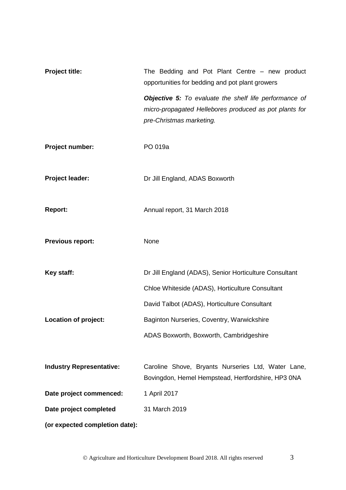| Project title:                  | The Bedding and Pot Plant Centre - new product<br>opportunities for bedding and pot plant growers                                            |
|---------------------------------|----------------------------------------------------------------------------------------------------------------------------------------------|
|                                 | Objective 5: To evaluate the shelf life performance of<br>micro-propagated Hellebores produced as pot plants for<br>pre-Christmas marketing. |
| Project number:                 | PO 019a                                                                                                                                      |
| Project leader:                 | Dr Jill England, ADAS Boxworth                                                                                                               |
| <b>Report:</b>                  | Annual report, 31 March 2018                                                                                                                 |
| <b>Previous report:</b>         | None                                                                                                                                         |
| Key staff:                      | Dr Jill England (ADAS), Senior Horticulture Consultant                                                                                       |
|                                 | Chloe Whiteside (ADAS), Horticulture Consultant                                                                                              |
|                                 | David Talbot (ADAS), Horticulture Consultant                                                                                                 |
| Location of project:            | Baginton Nurseries, Coventry, Warwickshire                                                                                                   |
|                                 | ADAS Boxworth, Boxworth, Cambridgeshire                                                                                                      |
| <b>Industry Representative:</b> | Caroline Shove, Bryants Nurseries Ltd, Water Lane,<br>Bovingdon, Hemel Hempstead, Hertfordshire, HP3 0NA                                     |
| Date project commenced:         | 1 April 2017                                                                                                                                 |
| Date project completed          | 31 March 2019                                                                                                                                |
| (or expected completion date):  |                                                                                                                                              |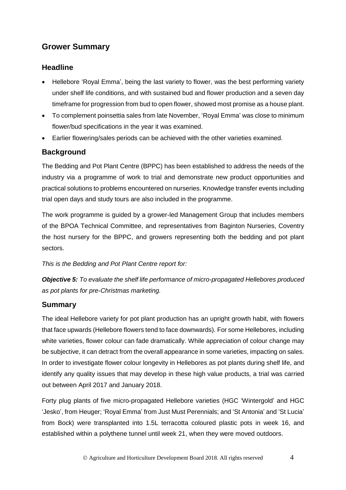## **Grower Summary**

#### **Headline**

- Hellebore 'Royal Emma', being the last variety to flower, was the best performing variety under shelf life conditions, and with sustained bud and flower production and a seven day timeframe for progression from bud to open flower, showed most promise as a house plant.
- To complement poinsettia sales from late November, 'Royal Emma' was close to minimum flower/bud specifications in the year it was examined.
- Earlier flowering/sales periods can be achieved with the other varieties examined.

### **Background**

The Bedding and Pot Plant Centre (BPPC) has been established to address the needs of the industry via a programme of work to trial and demonstrate new product opportunities and practical solutions to problems encountered on nurseries. Knowledge transfer events including trial open days and study tours are also included in the programme.

The work programme is guided by a grower-led Management Group that includes members of the BPOA Technical Committee, and representatives from Baginton Nurseries, Coventry the host nursery for the BPPC, and growers representing both the bedding and pot plant sectors.

*This is the Bedding and Pot Plant Centre report for:*

*Objective 5: To evaluate the shelf life performance of micro-propagated Hellebores produced as pot plants for pre-Christmas marketing.*

#### **Summary**

The ideal Hellebore variety for pot plant production has an upright growth habit, with flowers that face upwards (Hellebore flowers tend to face downwards). For some Hellebores, including white varieties, flower colour can fade dramatically. While appreciation of colour change may be subjective, it can detract from the overall appearance in some varieties, impacting on sales. In order to investigate flower colour longevity in Hellebores as pot plants during shelf life, and identify any quality issues that may develop in these high value products, a trial was carried out between April 2017 and January 2018.

Forty plug plants of five micro-propagated Hellebore varieties (HGC 'Wintergold' and HGC 'Jesko', from Heuger; 'Royal Emma' from Just Must Perennials; and 'St Antonia' and 'St Lucia' from Bock) were transplanted into 1.5L terracotta coloured plastic pots in week 16, and established within a polythene tunnel until week 21, when they were moved outdoors.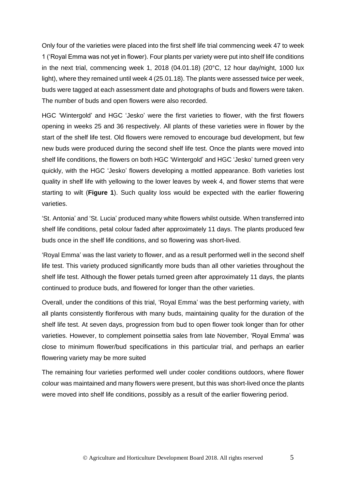Only four of the varieties were placed into the first shelf life trial commencing week 47 to week 1 ('Royal Emma was not yet in flower). Four plants per variety were put into shelf life conditions in the next trial, commencing week 1, 2018 (04.01.18) (20°C, 12 hour day/night, 1000 lux light), where they remained until week 4 (25.01.18). The plants were assessed twice per week, buds were tagged at each assessment date and photographs of buds and flowers were taken. The number of buds and open flowers were also recorded.

HGC 'Wintergold' and HGC 'Jesko' were the first varieties to flower, with the first flowers opening in weeks 25 and 36 respectively. All plants of these varieties were in flower by the start of the shelf life test. Old flowers were removed to encourage bud development, but few new buds were produced during the second shelf life test. Once the plants were moved into shelf life conditions, the flowers on both HGC 'Wintergold' and HGC 'Jesko' turned green very quickly, with the HGC 'Jesko' flowers developing a mottled appearance. Both varieties lost quality in shelf life with yellowing to the lower leaves by week 4, and flower stems that were starting to wilt (**Figure 1**). Such quality loss would be expected with the earlier flowering varieties.

'St. Antonia' and 'St. Lucia' produced many white flowers whilst outside. When transferred into shelf life conditions, petal colour faded after approximately 11 days. The plants produced few buds once in the shelf life conditions, and so flowering was short-lived.

'Royal Emma' was the last variety to flower, and as a result performed well in the second shelf life test. This variety produced significantly more buds than all other varieties throughout the shelf life test. Although the flower petals turned green after approximately 11 days, the plants continued to produce buds, and flowered for longer than the other varieties.

Overall, under the conditions of this trial, 'Royal Emma' was the best performing variety, with all plants consistently floriferous with many buds, maintaining quality for the duration of the shelf life test. At seven days, progression from bud to open flower took longer than for other varieties. However, to complement poinsettia sales from late November, 'Royal Emma' was close to minimum flower/bud specifications in this particular trial, and perhaps an earlier flowering variety may be more suited

The remaining four varieties performed well under cooler conditions outdoors, where flower colour was maintained and many flowers were present, but this was short-lived once the plants were moved into shelf life conditions, possibly as a result of the earlier flowering period.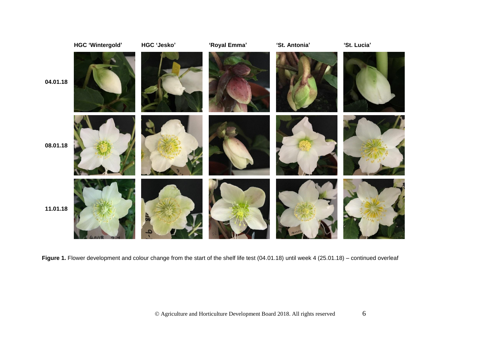

Figure 1. Flower development and colour change from the start of the shelf life test (04.01.18) until week 4 (25.01.18) – continued overleaf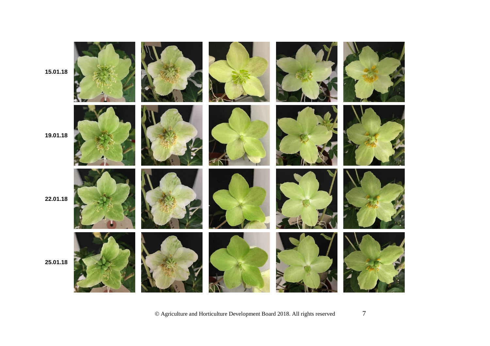